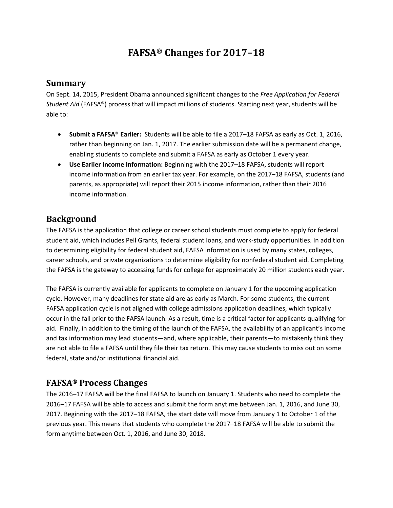# **FAFSA® Changes for 2017–18**

#### **Summary**

On Sept. 14, 2015, President Obama announced significant changes to the *Free Application for Federal Student Aid* (FAFSA®) process that will impact millions of students. Starting next year, students will be able to:

- **Submit a FAFSA**® **Earlier:** Students will be able to file a 2017–18 FAFSA as early as Oct. 1, 2016, rather than beginning on Jan. 1, 2017. The earlier submission date will be a permanent change, enabling students to complete and submit a FAFSA as early as October 1 every year.
- **Use Earlier Income Information:** Beginning with the 2017–18 FAFSA, students will report income information from an earlier tax year. For example, on the 2017–18 FAFSA, students (and parents, as appropriate) will report their 2015 income information, rather than their 2016 income information.

### **Background**

The FAFSA is the application that college or career school students must complete to apply for federal student aid, which includes Pell Grants, federal student loans, and work-study opportunities. In addition to determining eligibility for federal student aid, FAFSA information is used by many states, colleges, career schools, and private organizations to determine eligibility for nonfederal student aid. Completing the FAFSA is the gateway to accessing funds for college for approximately 20 million students each year.

The FAFSA is currently available for applicants to complete on January 1 for the upcoming application cycle. However, many deadlines for state aid are as early as March. For some students, the current FAFSA application cycle is not aligned with college admissions application deadlines, which typically occur in the fall prior to the FAFSA launch. As a result, time is a critical factor for applicants qualifying for aid. Finally, in addition to the timing of the launch of the FAFSA, the availability of an applicant's income and tax information may lead students—and, where applicable, their parents—to mistakenly think they are not able to file a FAFSA until they file their tax return. This may cause students to miss out on some federal, state and/or institutional financial aid.

### **FAFSA® Process Changes**

The 2016–17 FAFSA will be the final FAFSA to launch on January 1. Students who need to complete the 2016–17 FAFSA will be able to access and submit the form anytime between Jan. 1, 2016, and June 30, 2017. Beginning with the 2017–18 FAFSA, the start date will move from January 1 to October 1 of the previous year. This means that students who complete the 2017–18 FAFSA will be able to submit the form anytime between Oct. 1, 2016, and June 30, 2018.